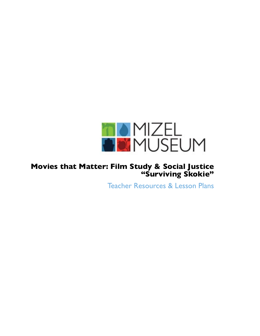

## **Movies that Matter: Film Study & Social Justice "Surviving Skokie"**

Teacher Resources & Lesson Plans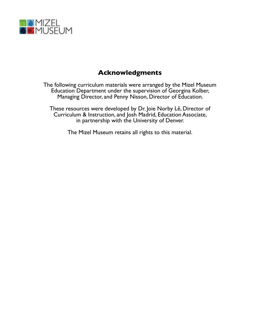

## **Acknowledgments**

The following curriculum materials were arranged by the Mizel Museum Education Department under the supervision of Georgina Kolber, Managing Director, and Penny Nisson, Director of Education.

These resources were developed by Dr. Joie Norby Lê, Director of Curriculum & Instruction, and Josh Madrid, Education Associate, in partnership with the University of Denver.

The Mizel Museum retains all rights to this material.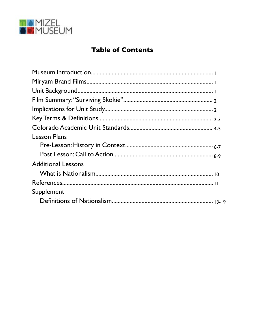

## **Table of Contents**

| Lesson Plans              |
|---------------------------|
|                           |
|                           |
| <b>Additional Lessons</b> |
|                           |
|                           |
| Supplement                |
|                           |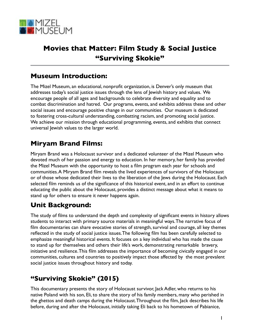

## **"Surviving Skokie" Movies that Matter: Film Study & Social Justice**

### **Museum Introduction:**

The Mizel Museum, an educational, nonprofit organization, is Denver's only museum that addresses today's social justice issues through the lens of Jewish history and values. We encourage people of all ages and backgrounds to celebrate diversity and equality and to combat discrimination and hatred. Our programs, events, and exhibits address these and other social issues and encourage positive change in our communities. Our museum is dedicated to fostering cross-cultural understanding, combatting racism, and promoting social justice. We achieve our mission through educational programming, events, and exhibits that connect universal Jewish values to the larger world.

### **Miryam Brand Films:**

Miryam Brand was a Holocaust survivor and a dedicated volunteer of the Mizel Museum who devoted much of her passion and energy to education. In her memory, her family has provided the Mizel Museum with the opportunity to host a film program each year for schools and communities. A Miryam Brand film reveals the lived experiences of survivors of the Holocaust or of those whose dedicated their lives to the liberation of the Jews during the Holocaust. Each selected film reminds us of the significance of this historical event, and in an effort to continue educating the public about the Holocaust, provides a distinct message about what it means to stand up for others to ensure it never happens again.

## **Unit Background:**

The study of films to understand the depth and complexity of significant events in history allows students to interact with primary source materials in meaningful ways. The narrative focus of film documentaries can share evocative stories of strength, survival and courage, all key themes reflected in the study of social justice issues. The following film has been carefully selected to emphasize meaningful historical events. It focuses on a key individual who has made the cause to stand up for themselves and others their life's work, demonstrating remarkable bravery, initiative and resilience. This film addresses the importance of becoming civically engaged in our communities, cultures and countries to positively impact those affected by the most prevalent social justice issues throughout history and today.

## **"Surviving Skokie" (2015)**

This documentary presents the story of Holocaust survivor, Jack Adler, who returns to his native Poland with his son, Eli, to share the story of his family members, many who perished in the ghettos and death camps during the Holocaust. Throughout the film, Jack describes his life before, during and after the Holocaust, initially taking Eli back to his hometown of Pabianice,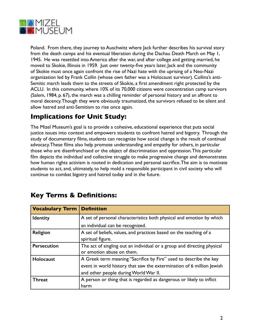

Poland. From there, they journey to Auschwitz where lack further describes his survival story from the death camps and his eventual liberation during the Dachau Death March on May 1, 1945. He was resettled into America after the war, and after college and getting married, he moved to Skokie, Illinois in 1959. Just over twenty-five years later, Jack and the community of Skokie must once again confront the rise of Nazi hate with the uprising of a Neo-Nazi organization led by Frank Collin (whose own father was a Holocaust survivor). Collins's anti-Semitic march leads them to the streets of Skokie, a first amendment right protected by the ACLU. In this community, where 10% of its 70,000 citizens were concentration camp survivors (Salem, 1984, p. 67), the march was a chilling reminder of personal history and an affront to moral decency. Though they were obviously traumatized, the survivors refused to be silent and allow hatred and anti-Semitism to rise once again.

### **Implications for Unit Study:**

The Mizel Museum's goal is to provide a cohesive, educational experience that puts social justice issues into context and empowers students to confront hatred and bigotry. Through the study of documentary films, students can recognize how social change is the result of continual advocacy. These films also help promote understanding and empathy for others, in particular those who are disenfranchised or the object of discrimination and oppression. This particular film depicts the individual and collective struggle to make progressive change and demonstrates how human rights activism is rooted in dedication and personal sacrifice. The aim is to motivate students to act, and, ultimately, to help mold a responsible participant in civil society who will continue to combat bigotry and hatred today and in the future.

| <b>Vocabulary Term Definition</b> |                                                                         |
|-----------------------------------|-------------------------------------------------------------------------|
| <b>Identity</b>                   | A set of personal characteristics both physical and emotion by which    |
|                                   | an individual can be recognized.                                        |
| Religion                          | A set of beliefs, values, and practices based on the teaching of a      |
|                                   | spiritual figure.                                                       |
| <b>Persecution</b>                | The act of singling out an individual or a group and directing physical |
|                                   | or emotion abuse on them.                                               |
| Holocaust                         | A Greek term meaning "Sacrifice by Fire" used to describe the key       |
|                                   | event in world history that saw the extermination of 6 million Jewish   |
|                                   | and other people during World War II.                                   |
| <b>Threat</b>                     | A person or thing that is regarded as dangerous or likely to inflict    |
|                                   | harm                                                                    |

## **Key Terms & Definitions:**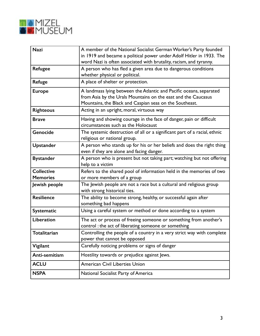

| <b>Nazi</b>       | A member of the National Socialist German Worker's Party founded<br>in 1919 and became a political power under Adolf Hitler in 1933. The |  |
|-------------------|------------------------------------------------------------------------------------------------------------------------------------------|--|
|                   | word Nazi is often associated with brutality, racism, and tyranny.                                                                       |  |
| <b>Refugee</b>    | A person who has fled a given area due to dangerous conditions                                                                           |  |
|                   | whether physical or political.                                                                                                           |  |
| Refuge            | A place of shelter or protection.                                                                                                        |  |
| <b>Europe</b>     | A landmass lying between the Atlantic and Pacific oceans, separated                                                                      |  |
|                   | from Asia by the Urals Mountains on the east and the Caucasus                                                                            |  |
|                   | Mountains, the Black and Caspian seas on the Southeast.                                                                                  |  |
| <b>Righteous</b>  | Acting in an upright, moral, virtuous way                                                                                                |  |
| <b>Brave</b>      | Having and showing courage in the face of danger, pain or difficult<br>circumstances such as the Holocaust                               |  |
| Genocide          | The systemic destruction of all or a significant part of a racial, ethnic                                                                |  |
|                   | religious or national group.                                                                                                             |  |
| <b>Upstander</b>  | A person who stands up for his or her beliefs and does the right thing<br>even if they are alone and facing danger.                      |  |
|                   |                                                                                                                                          |  |
| <b>Bystander</b>  | A person who is present but not taking part; watching but not offering<br>help to a victim                                               |  |
| <b>Collective</b> | Refers to the shared pool of information held in the memories of two                                                                     |  |
| <b>Memories</b>   | or more members of a group                                                                                                               |  |
| Jewish people     | The Jewish people are not a race but a cultural and religious group<br>with strong historical ties.                                      |  |
| <b>Resilience</b> | The ability to become strong, healthy, or successful again after<br>something bad happens                                                |  |
| <b>Systematic</b> | Using a careful system or method or done according to a system                                                                           |  |
| Liberation        | The act or process of freeing someone or something from another's                                                                        |  |
|                   | control : the act of liberating someone or something                                                                                     |  |
| Totalitarian      | Controlling the people of a country in a very strict way with complete                                                                   |  |
|                   | power that cannot be opposed                                                                                                             |  |
| Vigilant          | Carefully noticing problems or signs of danger                                                                                           |  |
| Anti-semitism     | Hostility towards or prejudice against Jews.                                                                                             |  |
| <b>ACLU</b>       | <b>American Civil Liberties Union</b>                                                                                                    |  |
| <b>NSPA</b>       | National Socialist Party of America                                                                                                      |  |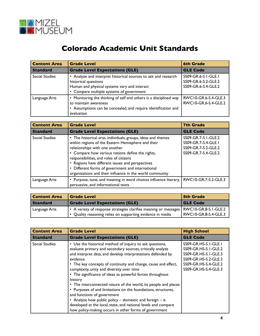

## **Colorado Academic Unit Standards**

| <b>Content Area</b> | <b>Grade Level</b>                                                                                                                                                                 | <b>6th Grade</b>                                                  |
|---------------------|------------------------------------------------------------------------------------------------------------------------------------------------------------------------------------|-------------------------------------------------------------------|
| <b>Standard</b>     | <b>Grade Level Expectations (GLE)</b>                                                                                                                                              | <b>GLE Code</b>                                                   |
| Social Studies      | • Analyze and interpret historical sources to ask and research<br>historical questions<br>Human and physical systems vary and interact<br>• Compare multiple systems of government | SS09-GR.6-S.1-GLE.1<br>SS09-GR.6-S.2-GLE.2<br>SS09-GR.6-S.4-GLE.2 |
| Language Arts       | • Monitoring the thinking of self and others is a disciplined way<br>to maintain awareness<br>• Assumptions can be concealed, and require identification and<br>evaluation         | RWC10-GR.6-S.4-GLE.3<br>RWC10-GR.6-S.4-GLE.2                      |

| <b>Content Area</b> | <b>Grade Level</b>                                                                                                                                                                                                                                                                                                                                                                                                       | <b>7th Grade</b>                                                                         |
|---------------------|--------------------------------------------------------------------------------------------------------------------------------------------------------------------------------------------------------------------------------------------------------------------------------------------------------------------------------------------------------------------------------------------------------------------------|------------------------------------------------------------------------------------------|
| <b>Standard</b>     | <b>Grade Level Expectations (GLE)</b>                                                                                                                                                                                                                                                                                                                                                                                    | <b>GLE Code</b>                                                                          |
| Social Studies      | • The historical eras, individuals, groups, ideas and themes<br>within regions of the Eastern Hemisphere and their<br>relationships with one another<br>• Compare how various nations define the rights,<br>responsibilities, and roles of citizens<br>• Regions have different issues and perspectives<br>• Different forms of government and international<br>organizations and their influence in the world community | SS09-GR.7-S.I-GLE.2<br>SS09-GR.7-S.4-GLE.1<br>SS09-GR.7-S.2-GLE.2<br>SS09-GR.7-S.4-GLE.2 |
| Language Arts       | • Purpose, tone, and meaning in word choices influence literary,   RWC10-GR.7-S.2-GLE.3<br>persuasive, and informational texts                                                                                                                                                                                                                                                                                           |                                                                                          |

| <b>Content Area</b> | <b>Grade Level</b>                                                                                                                                    | 8th Grade            |
|---------------------|-------------------------------------------------------------------------------------------------------------------------------------------------------|----------------------|
| <b>Standard</b>     | <b>Grade Level Expectations (GLE)</b>                                                                                                                 | <b>GLE Code</b>      |
| Language Arts       | • A variety of response strategies clarifies meaning or messages   RWC10-GR.8-S.1-GLE.2<br>• Quality reasoning relies on supporting evidence in media | RWC10-GR.8-S.4-GLE.3 |

| <b>Content Area</b> | <b>Grade Level</b>                                                                                                                                                                                                                                                                                                                                                                                                                                                                                                                                                                                                                                                                                                                                | <b>High School</b>                                                                                                                           |
|---------------------|---------------------------------------------------------------------------------------------------------------------------------------------------------------------------------------------------------------------------------------------------------------------------------------------------------------------------------------------------------------------------------------------------------------------------------------------------------------------------------------------------------------------------------------------------------------------------------------------------------------------------------------------------------------------------------------------------------------------------------------------------|----------------------------------------------------------------------------------------------------------------------------------------------|
| <b>Standard</b>     | <b>Grade Level Expectations (GLE)</b>                                                                                                                                                                                                                                                                                                                                                                                                                                                                                                                                                                                                                                                                                                             | <b>GLE Code</b>                                                                                                                              |
| Social Studies      | • Use the historical method of inquiry to ask questions,<br>evaluate primary and secondary sources, critically analyze<br>and interpret data, and develop interpretations defended by<br>evidence<br>• The key concepts of continuity and change, cause and effect,<br>complexity, unity and diversity over time<br>• The significance of ideas as powerful forces throughout<br>history<br>• The interconnected nature of the world, its people and places<br>• Purposes of and limitations on the foundations, structures,<br>and functions of government<br>• Analyze how public policy – domestic and foreign – is<br>developed at the local, state, and national levels and compare<br>how policy-making occurs in other forms of government | SS09-GR.HS-S.I-GLE.I<br>SS09-GR.HS-S.I-GLE.2<br>SS09-GR.HS-S.I-GLE.3<br>SS09-GR.HS-S.2-GLE.3<br>SS09-GR.HS-S.4-GLE.2<br>SS09-GR.HS-S.4-GLE.3 |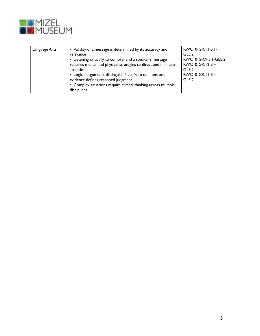

| Language Arts | • Validity of a message is determined by its accuracy and<br>relevance<br>• Listening critically to comprehend a speaker's message<br>requires mental and physical strategies to direct and maintain<br>attention<br>• Logical arguments distinguish facts from opinions; and<br>evidence defines reasoned judgment<br>• Complex situations require critical thinking across multiple<br>disciplines | RWC10-GR.11-S.1-<br>GLE <sub>2</sub><br>RWC10-GR.9-S.1-GLE.2<br>RWC10-GR.12-S.4-<br>GLE.2<br>RWC10-GR.11-S.4-<br>GLE <sub>2</sub> |
|---------------|------------------------------------------------------------------------------------------------------------------------------------------------------------------------------------------------------------------------------------------------------------------------------------------------------------------------------------------------------------------------------------------------------|-----------------------------------------------------------------------------------------------------------------------------------|
|---------------|------------------------------------------------------------------------------------------------------------------------------------------------------------------------------------------------------------------------------------------------------------------------------------------------------------------------------------------------------------------------------------------------------|-----------------------------------------------------------------------------------------------------------------------------------|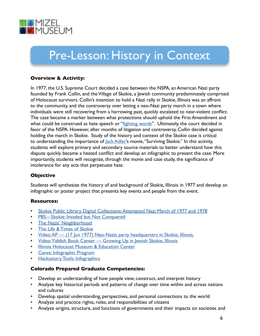

## Pre-Lesson: History in Context

#### **Overview & Activity:**

In 1977, the U.S. Supreme Court decided a case between the NSPA, an American Nazi party founded by Frank Collin, and the Village of Skokie, a Jewish community predominately comprised of Holocaust survivors. Collin's intention to hold a Nazi rally in Skokie, Illinois was an affront to the community, and the controversy over letting a neo-Nazi party march in a town where individuals were still recovering from a harrowing past, quickly escalated to near-violent conflict. The case became a marker between what protections should uphold the First Amendment and what could be construed as hate speech or "[fighting words](https://www.law.cornell.edu/wex/fighting_words)". Ultimately, the court decided in favor of the NSPA. However, after months of litigation and controversy, Collin decided against holding the march in Skokie. Study of the history and context of the Skokie case is critical to understanding the importance of **Jack Adler's** movie, "Surviving Skokie." In this activity, students will explore primary and secondary source materials to better understand how this dispute quickly became a heated conflict and develop an infographic to present the case. More importantly, students will recognize, through the movie and case study, the significance of intolerance for any acts that perpetuate hate.

#### **Objective**

Students will synthesize the history of and background of Skokie, Illinois in 1977 and develop an infographic or poster project that presents key events and people from the event.

#### **Resources:**

- [Skokie Public Library Digital Collections: Attempted Nazi March of 1977 and 1978](https://skokiehistory.omeka.net/exhibits/show/attempted-nazi-march/timeline)
- **PBS-Skokie: Invaded but Not Conquered**
- [The Nazis' Neighborhood](http://interactive.wbez.org/curiouscity/chicagonazineighborhood/)
- [The Life & Times of Skokie](http://www.momentmag.com/the-life-and-times-of-skokie/)
- [Video: AP \(17 Jun 1977\) Neo-Nazis party headquarters in Skokie, Illinois.](https://youtu.be/8q_flZgXfPg)
- [Video: Yiddish Book Center Growing Up in Jewish Skokie, Illinois](https://youtu.be/0XVHzi-9lk0)
- **[Illinois Holocaust Museum & Education Center](https://www.ilholocaustmuseum.org/)**
- [Canva: Infographic Program](https://www.canva.com/)
- [Hackastory Tools: Infographics](https://digitalstory.tools/category/infographic/)

#### **Colorado Prepared Graduate Competencies:**

- Develop an understanding of how people view, construct, and interpret history
- Analyze key historical periods and patterns of change over time within and across nations and cultures
- Develop spatial understanding, perspectives, and personal connections to the world
- Analyze and practice rights, roles, and responsibilities of citizens
- Analyze origins, structure, and functions of governments and their impacts on societies and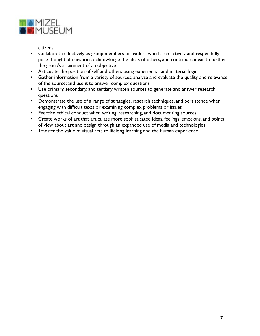

citizens

- Collaborate effectively as group members or leaders who listen actively and respectfully pose thoughtful questions, acknowledge the ideas of others, and contribute ideas to further the group's attainment of an objective
- Articulate the position of self and others using experiential and material logic
- Gather information from a variety of sources; analyze and evaluate the quality and relevance of the source; and use it to answer complex questions
- Use primary, secondary, and tertiary written sources to generate and answer research questions
- Demonstrate the use of a range of strategies, research techniques, and persistence when engaging with difficult texts or examining complex problems or issues
- Exercise ethical conduct when writing, researching, and documenting sources
- Create works of art that articulate more sophisticated ideas, feelings, emotions, and points of view about art and design through an expanded use of media and technologies
- Transfer the value of visual arts to lifelong learning and the human experience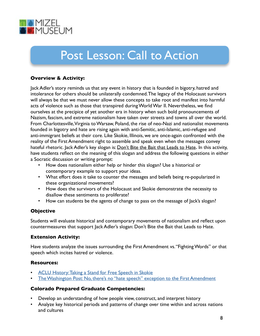

# Post Lesson: Call to Action

#### **Overview & Activity:**

Jack Adler's story reminds us that any event in history that is founded in bigotry, hatred and intolerance for others should be unilaterally condemned. The legacy of the Holocaust survivors will always be that we must never allow these concepts to take root and manifest into harmful acts of violence such as those that transpired during World War II. Nevertheless, we find ourselves at the precipice of yet another era in history when such bold pronouncements of Nazism, fascism, and extreme nationalism have taken over streets and towns all over the world. From Charlottesville, Virginia to Warsaw, Poland, the rise of neo-Nazi and nationalist movements founded in bigotry and hate are rising again with anti-Semitic, anti-Islamic, anti-refugee and anti-immigrant beliefs at their core. Like Skokie, Illinois, we are once-again confronted with the reality of the First Amendment right to assemble and speak even when the messages convey hateful rhetoric. Jack Adler's key slogan is: Don't Bite the Bait that Leads to Hate**.** In this activity, have students reflect on the meaning of this slogan and address the following questions in either a Socratic discussion or writing prompt:

- How does nationalism either help or hinder this slogan? Use a historical or contemporary example to support your ideas.
- What effort does it take to counter the messages and beliefs being re-popularized in these organizational movements?
- How does the survivors of the Holocaust and Skokie demonstrate the necessity to disallow these sentiments to proliferate?
- How can students be the agents of change to pass on the message of Jack's slogan?

#### **Objective**

Students will evaluate historical and contemporary movements of nationalism and reflect upon countermeasures that support Jack Adler's slogan: Don't Bite the Bait that Leads to Hate.

#### **Extension Activity:**

Have students analyze the issues surrounding the First Amendment vs. "Fighting Words" or that speech which incites hatred or violence.

#### **Resources:**

- **[ACLU History: Taking a Stand for Free Speech in Skokie](https://www.aclu.org/other/aclu-history-taking-stand-free-speech-skokie)**
- [The Washington Post: No, there's no "hate speech" exception to the First Amendment](https://www.washingtonpost.com/news/volokh-conspiracy/wp/2015/05/07/no-theres-no-hate-speech-exception-to-the-first-amendment/?utm_term=.328fea96ce44)

#### **Colorado Prepared Graduate Competencies:**

- Develop an understanding of how people view, construct, and interpret history
- Analyze key historical periods and patterns of change over time within and across nations and cultures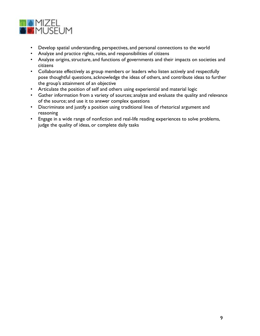

- Develop spatial understanding, perspectives, and personal connections to the world
- Analyze and practice rights, roles, and responsibilities of citizens
- Analyze origins, structure, and functions of governments and their impacts on societies and citizens
- Collaborate effectively as group members or leaders who listen actively and respectfully pose thoughtful questions, acknowledge the ideas of others, and contribute ideas to further the group's attainment of an objective
- Articulate the position of self and others using experiential and material logic
- Gather information from a variety of sources; analyze and evaluate the quality and relevance of the source; and use it to answer complex questions
- Discriminate and justify a position using traditional lines of rhetorical argument and reasoning
- Engage in a wide range of nonfiction and real-life reading experiences to solve problems, judge the quality of ideas, or complete daily tasks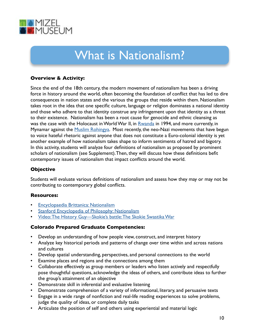

## What is Nationalism?

#### **Overview & Activity:**

Since the end of the 18th century, the modern movement of nationalism has been a driving force in history around the world, often becoming the foundation of conflict that has led to dire consequences in nation states and the various the groups that reside within them. Nationalism takes root in the idea that one specific culture, language or religion dominates a national identity and those who adhere to that identity construe any infringement upon that identity as a threat to their existence. Nationalism has been a root cause for genocide and ethnic cleansing as was the case with the Holocaust in World War II, in [Rwanda](http://www.history.com/topics/rwandan-genocide) in 1994, and more currently, in Mynamar against the [Muslim Rohingya](http://www.bbc.com/news/world-asia-38168917). Most recently, the neo-Nazi movements that have begun to voice hateful rhetoric against anyone that does not constitute a Euro-colonial identity is yet another example of how nationalism takes shape to inform sentiments of hatred and bigotry. In this activity, students will analyze four definitions of nationalism as proposed by prominent scholars of nationalism (see Supplement). Then, they will discuss how these definitions befit contemporary issues of nationalism that impact conflicts around the world.

#### **Objective**

Students will evaluate various definitions of nationalism and assess how they may or may not be contributing to contemporary global conflicts.

#### **Resources:**

- [Encyclopaedia Brittanica: Nationalism](https://www.britannica.com/topic/nationalism)
- **[Stanford Encyclopedia of Philosophy: Nationalism](https://plato.stanford.edu/entries/nationalism/)**
- [Video: The History Guy—Skokie's battle: The Skokie Swastika War](https://youtu.be/jDRXtIsAH54)

#### **Colorado Prepared Graduate Competencies:**

- Develop an understanding of how people view, construct, and interpret history
- Analyze key historical periods and patterns of change over time within and across nations and cultures
- Develop spatial understanding, perspectives, and personal connections to the world
- Examine places and regions and the connections among them
- Collaborate effectively as group members or leaders who listen actively and respectfully pose thoughtful questions, acknowledge the ideas of others, and contribute ideas to further the group's attainment of an objective
- Demonstrate skill in inferential and evaluative listening
- Demonstrate comprehension of a variety of informational, literary, and persuasive texts
- Engage in a wide range of nonfiction and real-life reading experiences to solve problems, judge the quality of ideas, or complete daily tasks
- Articulate the position of self and others using experiential and material logic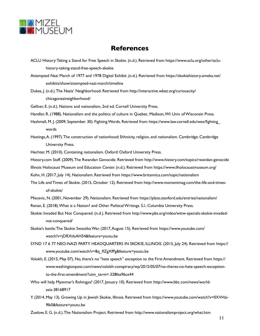

#### **References**

- ACLU History: Taking a Stand for Free Speech in Skokie. (n.d.). Retrieved from https://www.aclu.org/other/acluhistory-taking-stand-free-speech-skokie
- Attempted Nazi March of 1977 and 1978 Digital Exhibit. (n.d.). Retrieved from https://skokiehistory.omeka.net/ exhibits/show/attempted-nazi-march/timeline
- Dukes, J. (n.d.). The Nazis' Neighborhood. Retrieved from http://interactive.wbez.org/curiouscity/ chicagonazineighborhood/

Gellner, E. (n.d.). Nations and nationalism, 2nd ed. Cornell University Press.

- Handler, R. (1988). Nationalism and the politics of culture in Quebec. Madison, WI: Univ. of Wisconsin Press.
- Hashmall, M. J. (2009, September 30). Fighting Words. Retrieved from https://www.law.cornell.edu/wex/fighting\_ words
- Hastings, A. (1997). The construction of nationhood: Ethnicity, religion, and nationalism. Cambridge: Cambridge University Press.

Hechter, M. (2010). Containing nationalism. Oxford: Oxford University Press.

- History.com Staff. (2009). The Rwandan Genocide. Retrieved from http://www.history.com/topics/rwandan-genocide
- Illinois Holocaust Museum and Education Center. (n.d.). Retrieved from https://www.ilholocaustmuseum.org/
- Kohn, H. (2017, July 14). Nationalism. Retrieved from https://www.britannica.com/topic/nationalism
- The Life and Times of Skokie. (2015, October 12). Retrieved from http://www.momentmag.com/the-life-and-timesof-skokie/
- Miscevic, N. (2001, November 29). Nationalism. Retrieved from https://plato.stanford.edu/entries/nationalism/
- Renan, E. (2018). What is a Nation? and Other Political Writings. S.l.: Columbia University Press.
- Skokie: Invaded But Not Conquered. (n.d.). Retrieved from http://www.pbs.org/video/wttw-specials-skokie-invadednot-conquered/
- Skokie's battle: The Skokie Swastika War. (2017, August 15). Retrieved from https://www.youtube.com/ watch?v=jDRXtIsAH54&feature=youtu.be
- SYND 17 6 77 NEO-NAZI PARTY HEADQUARTERS IN SKOKIE, ILLINOIS. (2015, July 24). Retrieved from https:// www.youtube.com/watch?v=8q\_flZgXfPg&feature=youtu.be
- Volokh, E. (2015, May 07). No, there's no "hate speech" exception to the First Amendment. Retrieved from https:// www.washingtonpost.com/news/volokh-conspiracy/wp/2015/05/07/no-theres-no-hate-speech-exceptionto-the-first-amendment/?utm\_term=.328fea96ce44
- Who will help Myanmar's Rohingya? (2017, January 10). Retrieved from http://www.bbc.com/news/worldasia-38168917
- Y. (2014, May 13). Growing Up in Jewish Skokie, Illinois. Retrieved from https://www.youtube.com/watch?v=0XVHzi-9lk0&feature=youtu.be
- Zuelow, E. G. (n.d.). The Nationalism Project. Retrieved from http://www.nationalismproject.org/what.htm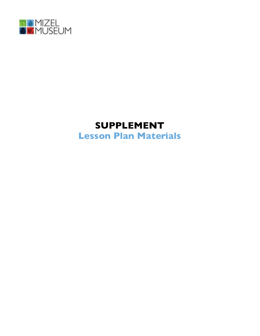

## **SUPPLEMENT**

**Lesson Plan Materials**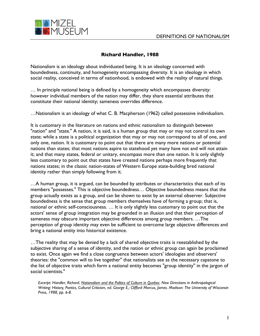

#### **Richard Handler, 1988**

Nationalism is an ideology about individuated being. It is an ideology concerned with boundedness, continuity, and homogeneity encompassing diversity. It is an ideology in which social reality, conceived in terms of nationhood, is endowed with the reality of natural things.

… In principle national being is defined by a homogeneity which encompasses diversity: however individual members of the nation may differ, they share essential attributes that constitute their national identity; sameness overrides difference.

…Nationalism is an ideology of what C. B. Macpherson (1962) called possessive individualism.

It is customary in the literature on nations and ethnic nationalism to distinguish between "nation" and "state." A nation, it is said, is a human group that may or may not control its own state; while a state is a political organization that may or may not correspond to all of one, and only one, nation. It is customary to point out that there are many more nations or potential nations than states; that most nations aspire to statehood yet many have not and will not attain it; and that many states, federal or unitary, encompass more than one nation. It is only slightly less customary to point out that states have created nations perhaps more frequently that nations states; in the classic nation-states of Western Europe state-building bred national identity rather than simply following from it.

…A human group, it is argued, can be bounded by attributes or characteristics that each of its members "possesses." This is objective boundedness… Objective boundedness means that the group actually exists as a group, and can be shown to exist by an external observer. Subjective boundedness is the sense that group members themselves have of forming a group; that is, national or ethnic self-consciousness. … It is only slightly less customary to point out that the actors' sense of group integration may be grounded in an illusion and that their perception of sameness may obscure important objective differences among group members. …The perception of group identity may even be sufficient to overcome large objective differences and bring a national entity into historical existence.

…The reality that may be denied by a lack of shared objective traits is reestablished by the subjective sharing of a sense of identity, and the nation or ethnic group can again be proclaimed to exist. Once again we find a close congruence between actors' ideologies and observers' theories: the "common will to live together" that nationalists see as the necessary capstone to the list of objective traits which form a national entity becomes "group identity" in the jargon of social scientists."

*Excerpt: Handler, Richard. Nationalism and the Politics of Culture in Quebec. New Directions in Anthropological Writing: History, Poetics, Cultural Criticism, ed. George E.; Clifford Marcus, James. Madison: The University of Wisconsin Press, 1988, pp. 6-8.*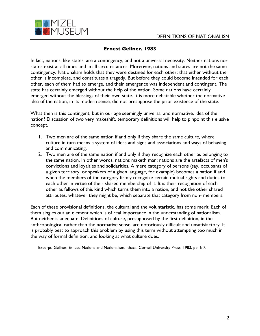

#### **Ernest Gellner, 1983**

In fact, nations, like states, are a contingency, and not a universal necessity. Neither nations nor states exist at all times and in all circumstances. Moreover, nations and states are not the same contingency. Nationalism holds that they were destined for each other; that either without the other is incomplete, and constitutes a tragedy. But before they could become intended for each other, each of them had to emerge, and their emergence was independent and contingent. The state has certainly emerged without the help of the nation. Some nations have certainly emerged without the blessings of their own state. It is more debatable whether the normative idea of the nation, in its modern sense, did not presuppose the prior existence of the state.

What then is this contingent, but in our age seemingly universal and normative, idea of the nation? Discussion of two very makeshift, temporary definitions will help to pinpoint this elusive concept.

- 1. Two men are of the same nation if and only if they share the same culture, where culture in turn means a system of ideas and signs and associations and ways of behaving and communicating.
- 2. Two men are of the same nation if and only if they recognize each other as belonging to the same nation. In other words, nations maketh man; nations are the artefacts of men's convictions and loyalties and solidarities. A mere category of persons (say, occupants of a given territory, or speakers of a given language, for example) becomes a nation if and when the members of the category firmly recognize certain mutual rights and duties to each other in virtue of their shared membership of it. It is their recognition of each other as fellows of this kind which turns them into a nation, and not the other shared attributes, whatever they might be, which separate that category from non- members.

Each of these provisional definitions, the cultural and the voluntaristic, has some merit. Each of them singles out an element which is of real importance in the understanding of nationalism. But neither is adequate. Definitions of culture, presupposed by the first definition, in the anthropological rather than the normative sense, are notoriously difficult and unsatisfactory. It is probably best to approach this problem by using this term without attempting too much in the way of formal definition, and looking at what culture does.

Excerpt: Gellner, Ernest. Nations and Nationalism. Ithaca: Cornell University Press, 1983, pp. 6-7.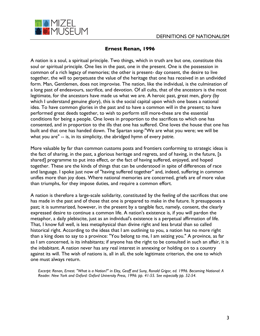



#### **Ernest Renan, 1996**

A nation is a soul, a spiritual principle. Two things, which in truth are but one, constitute this soul or spiritual principle. One lies in the past, one in the present. One is the possession in common of a rich legacy of memories; the other is present- day consent, the desire to live together, the will to perpetuate the value of the heritage that one has received in an undivided form. Man, Gentlemen, does not improvise. The nation, like the individual, is the culmination of a long past of endeavours, sacrifice, and devotion. Of all cults, that of the ancestors is the most legitimate, for the ancestors have made us what we are. A heroic past, great men, glory (by which I understand genuine glory), this is the social capital upon which one bases a national idea. To have common glories in the past and to have a common will in the present; to have performed great deeds together, to wish to perform still more-these are the essential conditions for being a people. One loves in proportion to the sacrifices to which one has consented, and in proportion to the ills that one has suffered. One loves the house that one has built and that one has handed down. The Spartan song-"We are what you were; we will be what you are" -- is, in its simplicity, the abridged hymn of every *patrie*.

More valuable by far than common customs posts and frontiers conforming to strategic ideas is the fact of sharing, in the past, a glorious heritage and regrets, and of having, in the future, [a shared] programme to put into effect, or the fact of having suffered, enjoyed, and hoped together. These are the kinds of things that can be understood in spite of differences of race and language. I spoke just now of "having suffered together" and, indeed, suffering in common unifies more than joy does. Where national memories are concerned, griefs are of more value than triumphs, for they impose duties, and require a common effort.

A nation is therefore a large-scale solidarity, constituted by the feeling of the sacrifices that one has made in the past and of those that one is prepared to make in the future. It presupposes a past; it is summarized, however, in the present by a tangible fact, namely, consent, the clearly expressed desire to continue a common life. A nation's existence is, if you will pardon the metaphor, a daily plebiscite, just as an individual's existence is a perpetual affirmation of life. That, I know full well, is less metaphysical than divine right and less brutal than so called historical right. According to the ideas that I am outlining to you, a nation has no more right than a king does to say to a province: "You belong to me, I am seizing you." A province, as far as I am concerned, is its inhabitants; if anyone has the right to be consulted in such an affair, it is the inbabitant. A nation never has any real interest in annexing or holding on to a country against its will. The wish of nations is, all in all, the sole legitimate criterion, the one to which one must always return.

*Excerpt: Renan, Ernest. "What is a Nation?" in Eley, Geoff and Suny, Ronald Grigor, ed. 1996. Becoming National: A Reader. New York and Oxford: Oxford University Press, 1996: pp. 41-55. See especially pp. 52-54.*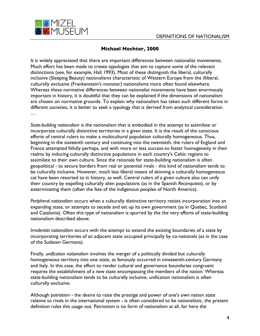

#### **Michael Hechter, 2000**

It is widely appreciated that there are important differences between nationalist movements. Much effort has been made to create typologies that aim to capture some of the relevant distinctions (see, for example, Hall 1993). Most of these distinguish the liberal, culturally inclusive (Sleeping Beauty) nationalisms characteristic of Western Europe from the illiberal, culturally exclusive (Frankenstein's monster) nationalisms more often found elsewhere. Whereas these normative differences between nationalist movements have been enormously important in history, it is doubtful that they can be explained if the dimensions of nationalism are chosen on normative grounds. To explain why nationalism has taken such different forms in different societies, it is better to seek a typology that is derived from analytical consideration. …

*State-building nationalism* is the nationalism that is embodied in the attempt to assimilate or incorporate culturally distinctive territories in a given state. It is the result of the conscious efforts of central rulers to make a multicultural population culturally homogeneous. Thus, beginning in the sixteenth century and continuing into the twentieth, the rulers of England and France attempted fitfully perhaps, and with more or less success-to foster homogeneity in their realms by inducing culturally distinctive populations in each country's Celtic regions to assimilate to their own culture. Since the rationale for state-building nationalism is often geopolitical - to secure borders from real or potential rivals - this kind of nationalism tends to be culturally inclusive. However, much less liberal means of skinning a culturally homogeneous cat have been resorted to in history, as well. Central rulers of a given culture also can unify their country by expelling culturally alien populations (as in the Spanish *Reconquista*), or by exterminating them (often the fate of the indigenous peoples of North America).

*Peripheral nationalism* occurs when a culturally distinctive territory resists incorporation into an expanding state, or attempts to secede and set up its own government (as in Quebec, Scotland and Catalonia). Often this type of nationalism is spurred by the the very efforts of state-building nationalism described above.

*Irredentist nationalism* occurs with the attempt to extend the existing boundaries of a state by incorporating territories of an adjacent state occupied principally by co-nationals (as in the case of the Sudeten Germans).

Finally, *unification nationalism* involves the merger of a politically divided but culturally homogeneous territory into one state, as famously occurred in nineteenth-century Germany and Italy. In this case, the effort to render cultural and governance boundaries congruent requires the establishment of a new state encompassing the members of the nation. Whereas state-building nationalism tends to be culturally inclusive, unification nationalism is often culturally exclusive.

Although *patriotism* - the desire to raise the prestige and power of one's own nation state relative to rivals in the international system - is often considered to be nationalistic, the present definition rules this usage out. Patriotism is no form of nationalism at all, for here the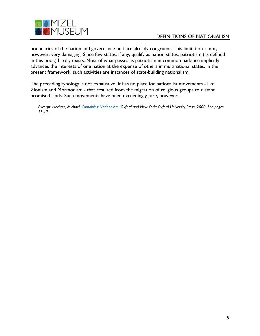

boundaries of the nation and governance unit are already congruent. This limitation is not, however, very damaging. Since few states, if any, qualify as nation states, patriotism (as defined in this book) hardly exists. Most of what passes as patriotism in common parlance implicitly advances the interests of one nation at the expense of others in multinational states. In the present framework, such activities are instances of state-building nationalism.

The preceding typology is not exhaustive. It has no place for nationalist movements - like Zionism and Mormonism - that resulted from the migration of religious groups to distant promised lands. Such movements have been exceedingly rare, however...

*Excerpt: Hechter, Michael. Containing Nationalism. Oxford and New York: Oxford University Press, 2000. See pages 15-17.*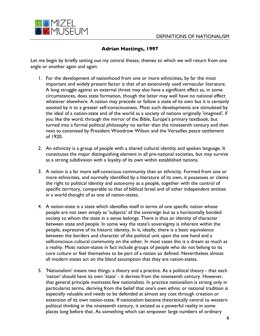

#### **Adrian Hastings, 1997**

Let me begin by briefly setting out my central theses, themes to which we will return from one angle or another again and again.

- 1. For the development of nationhood from one or more ethnicities, by far the most important and widely present factor is that of an extensively used vernacular literature. A long struggle against an external threat may also have a significant effect as, in some circumstances, does state formation, though the latter may well have no national effect whatever elsewhere. A nation may precede or follow a state of its own but it is certainly assisted by it to a greater self-consciousness. Most such developments are stimulated by the ideal of a nation-state and of the world as a society of nations originally 'imagined', if you like the word, through the mirror of the Bible, Europe's primary textbook, but turned into a formal political philosophy no earlier than the nineteenth century and then next to canonised by President Woodrow Wilson and the Versailles peace settlement of 1920.
- 2. An ethnicity is a group of people with a shared cultural identity and spoken language. It constitutes the major distinguishing element in all pre-national societies, but may survive as a strong subdivision with a loyalty of its own within established nations.
- 3. A nation is a far more self-conscious community than an ethnicity. Formed from one or more ethnicities, and normally identified by a literature of its own, it possesses or claims the right to political identity and autonomy as a people, together with the control of specific territory, comparable to that of biblical Israel and of other independent entities in a world thought of as one of nation-states.
- 4. A nation-state is a state which identifies itself in terms of one specific nation whose people are not seen simply as 'subjects' of the sovereign but as a horizontally bonded society to whom the state in a sense belongs. There is thus an identity of character between state and people. In some way the state's sovereignty is inherent within the people, expressive of its historic identity. In it, ideally, there is a basic equivalence between the borders and character of the political unit upon the one hand and a selfconscious cultural community on the other. In most cases this is a dream as much as a reality. Most nation-states in fact include groups of people who do not belong to its core culture or feel themselves to be part of a nation so defined. Nevertheless almost all modern states act on the bland assumption that they are nation-states.
- 5. 'Nationalism' means two things: a theory and a practice. As a political theory that each 'nation' should have its own 'state' - it derives from the nineteenth century. However, that general principle motivates few nationalists. In practice nationalism is strong only in particularist terms, deriving from the belief that one's own ethnic or national tradition is especially valuable and needs to be defended at almost any cost through creation or extension of its own nation-state. If nationalism became theoretically central to western political thinking in the nineteenth century, it existed as a powerful reality in some places long before that. As something which can empower large numbers of ordinary